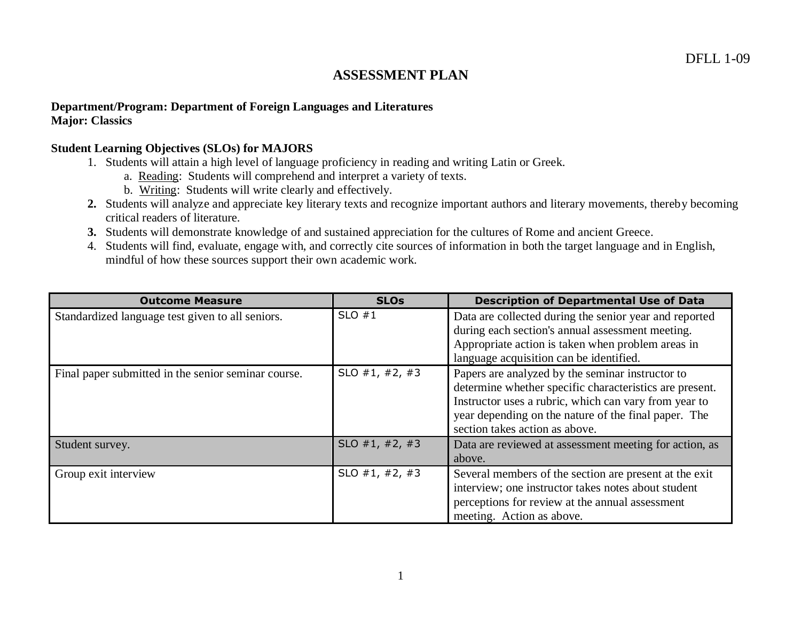# **ASSESSMENT PLAN**

#### **Department/Program: Department of Foreign Languages and Literatures Major: Classics**

#### **Student Learning Objectives (SLOs) for MAJORS**

- 1. Students will attain a high level of language proficiency in reading and writing Latin or Greek.
	- a. Reading: Students will comprehend and interpret a variety of texts.
	- b. Writing: Students will write clearly and effectively.
- **2.** Students will analyze and appreciate key literary texts and recognize important authors and literary movements, thereby becoming critical readers of literature.
- **3.** Students will demonstrate knowledge of and sustained appreciation for the cultures of Rome and ancient Greece.
- 4. Students will find, evaluate, engage with, and correctly cite sources of information in both the target language and in English, mindful of how these sources support their own academic work.

| <b>Outcome Measure</b>                              | <b>SLOs</b>    | <b>Description of Departmental Use of Data</b>                                                                                                                                                                                                                 |
|-----------------------------------------------------|----------------|----------------------------------------------------------------------------------------------------------------------------------------------------------------------------------------------------------------------------------------------------------------|
| Standardized language test given to all seniors.    | SLO $#1$       | Data are collected during the senior year and reported<br>during each section's annual assessment meeting.<br>Appropriate action is taken when problem areas in<br>language acquisition can be identified.                                                     |
| Final paper submitted in the senior seminar course. | SLO #1, #2, #3 | Papers are analyzed by the seminar instructor to<br>determine whether specific characteristics are present.<br>Instructor uses a rubric, which can vary from year to<br>year depending on the nature of the final paper. The<br>section takes action as above. |
| Student survey.                                     | SLO #1, #2, #3 | Data are reviewed at assessment meeting for action, as<br>above.                                                                                                                                                                                               |
| Group exit interview                                | SLO #1, #2, #3 | Several members of the section are present at the exit<br>interview; one instructor takes notes about student<br>perceptions for review at the annual assessment<br>meeting. Action as above.                                                                  |